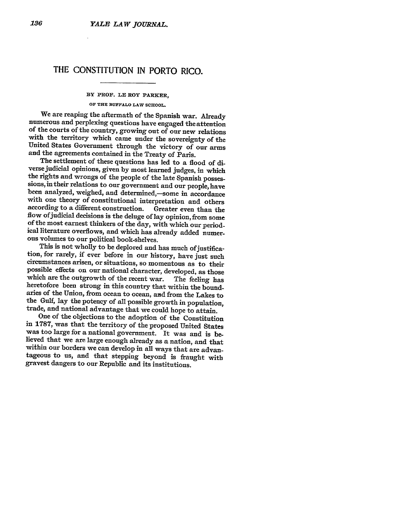## THE CONSTITUTION IN PORTO RICO.

## **BY** PROF. **LB** ROY **PARKER,**

## **OF THE BUFFALO** LAW **SCHOOL.**

We are reaping the aftermath of the Spanish war. Already numerous and perplexing questions have engaged the attention of the courts of the country, growing out of our new relations with the territory which came under the sovereignty of the United States Government through the victory of our arms and the agreements contained in the Treaty of Paris.

The settlement of these questions has led to a flood of diverse judicial opinions, given by most learned judges, in which the rights and wrongs of the people of the late Spanish posses- sions, in their relations to our government and our people, have been analyzed, weighed, and determined,-some in accordance with one theory of constitutional interpretation and others according to a different construction. Greater even than the flow of judicial decisions is the deluge of lay opinion, from some of the most earnest thinkers of the day, with which our period- ical literature overflows, and which has already added numerous volumes to our political book-shelves.

tion, for rarely, if ever before in our history, have just such circumstances arisen, or situations, so momentous as to their possible effects on our national character, developed, as those which are the outgrowth of the recent war. The feeling has heretofore been strong in this country that within the boundaries of the Union, from ocean to ocean, and from the Lakes to the Gulf, lay the potency of all possible growth in population, trade, and national advantage that we could hope to attain.

One of the objections to the adoption of the Constitution in 1787, was that the territory of the proposed United States lieved that we are large enough already as a nation, and that within our borders we can develop in all ways that are advantageous to us, and that stepping beyond is fraught with gravest dangers to our Republic and its institutions.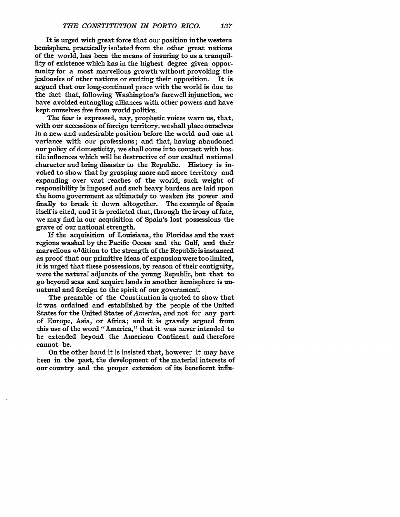It is urged with great force that our position in the western hemisphere, practically isolated from the other great nations of the world, has been the means of insuring to us a tranquillity of existence which has in the highest degree given opportunity for a most marvellous growth without provoking the jealousies of other nations or exciting their opposition. It is argued that our long-continued peace with the world is due to the fact that, following Washington's farewell injunction, we have avoided entangling alliances with other powers and have kept ourselves free from world politics.

The fear is expressed, nay, prophetic voices warn us, that, with our accessions of foreign territory, we shall place ourselves in a new and undesirable position before the world and one at variance with our professions; and that, having abandoned our policy of domesticity, we shall come into contact with hostile influences which will be destructive of our exalted national character and bring disaster to the Republic. History is invoked to show that by grasping more and more territory and expanding over vast reaches of the world, such weight of responsibility is imposed and such heavy burdens are laid upon the home government as ultimately to weaken its power and finally to break it down altogether. The example of Spain itself is cited, and it is predicted that, through the irony of fate, we may find in our acquisition of Spain's lost possessions the grave of our national strength.

**If** the acquisition of Louisiana, the Floridas and the vast regions washed **by** the Pacific Ocean and the Gulf, and their marvellous addition to the strength of the Republic is instanced as proof that our primitive ideas of expansion were too limited, it is urged that these possessions, **by** reason of their contiguity, were the natural adjuncts of the young Republic, but that to go beyond seas and acquire lands in another hemisphere is unnatural and foreign to the spirit of our government.

The preamble of the Constitution is quoted to show that it was ordained and established **by** the people of the United States for the United States of *America,* and not for any part of Europe, Asia, or Africa; and it is gravely argued from this use of the word "America," that it was never intended to be extended beyond the American Continent and therefore cannot be.

On the other hand it is insisted that, however it may have been in the past, the development of the material interests of our country and the proper extension of its beneficent influ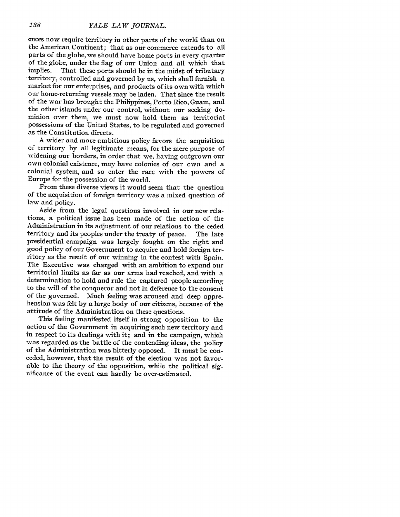ences now require territory in other parts of the world than on the American Continent; that as our commerce extends to all parts of the globe, we should have home ports in every quarter of the globe, under the flag of our Union and all which that That these ports should be in the midst of tributary territory, controlled and governed by us, which shall furnish a market for our enterprises, and products of its own with which our home-returning vessels may be laden. That since the result of the war has brought the Philippines, Porto Rico, Guam, and the other islands under our control, without our seeking dominion over them, we must now hold them as territorial possessions of the United States, to be regulated and governed as the Constitution directs.

A wider and more ambitious policy favors the acquisition of territory by all legitimate means, for the mere purpose of widening our borders, in order that we, having outgrown our own colonial existence, may have colonies of our own and a colonial system, and so enter the race with the powers of Europe for the possession of the world.

From these diverse views it would seem that the question of the acquisition of foreign territory was a mixed question of law and policy.

Aside from the legal questions involved in our new relations, a political issue has been made of the action of the Administration in its adjustment of our relations to the ceded territory and its peoples under the treaty of peace. The late presidential campaign was largely fought on the right and good policy of our Government to acquire and hold foreign territory as the result of our winning in the contest with Spain. The Executive was charged with an ambition to expand our territorial limits as far as our arms had reached, and with a determination to hold and rule the captured people according to the will of the conqueror and not in deference to the consent of the governed. Much feeling was aroused and deep apprehension was felt by a large body of our citizens, because of the attitude of the Administration on these questions.

This feeling manifested itself in strong opposition to the action of the Government in acquiring such new territory and in respect to its dealings with it; and in the campaign, which was regarded as the battle of the contending ideas, the policy of the Administration was bitterly opposed. It must be conceded, however, that the result of the election was not favorable to the theory of the opposition, while the political significance of the event can hardly be over-estimated.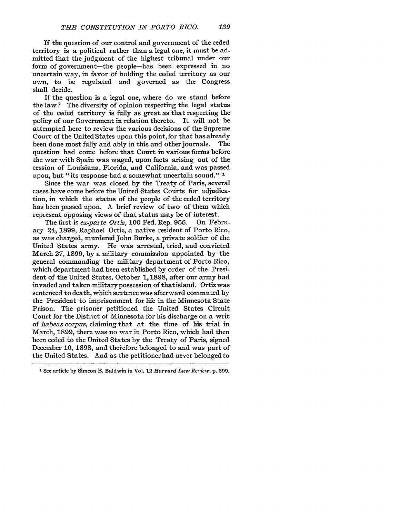If the question of our control and government of the ceded territory is a political rather than a legal one, it must be admitted that the judgment of the highest tribunal under our form of government-the people-has been expressed in no uncertain way, in favor of holding the ceded territory as our own, to be regulated and governed as the Congress shall decide.

If the question is a legal one, where do we stand before the law **?** The diversity of opinion respecting the legal status of the ceded territory is fully as great as that respecting the policy of our Government in relation thereto. It will not be attempted here to review the various decisions of the Supreme Court of the United States upon this point, for that has already been done most fully and ably in this and other journals. question had come before that Court in various forms before the war with Spain was waged, upon facts arising out of the cession of Louisiana, Florida, and California, and was passed upon, but "its response-had a somewhat uncertain sound." **I**

Since the war was closed **by** the Treaty of Paris, several cases have come before the United States Courts for adjudication, in which the status of the people of the ceded territory has been passed upon. **A** brief review of two of them which represent opposing views of that status may be of interest.

The first is *ex-parte Ortiz,* **100** Fed. Rep. 955. On February 24, **1899,** Raphael Ortiz, a native resident of Porto Rico, as was charged, murdered John Burke, a private soldier of the United States army. He was arrested, tried, and convicted March **27, 1899, by** a military commission appointed by the general commanding the military department of Porto Rico, which department had been established **by** order of the President of the United States, October **1,1898,** after our army had invaded and taken military possession of that island. Ortizwas sentenced to death, which sentence was afterward commuted **by** the President to imprisonment for life in the Minnesota State Prison. The prisoner petitioned the United States Circuit Court for the District of Minnesota for his discharge on a writ of *habeas corpus,* claiming that at the time of his trial in March, **1899,** there was no war in Porto Rico, which had then been ceded to the United States **by** the Treaty of Paris, signed December **10, 1898,** and therefore belonged to and was part of the United States. And as the petitionerhad never belongedto

**I See article by Simeon E. Baldwin in Vol.** 12 *Harvard Law Review,* **p. 399.**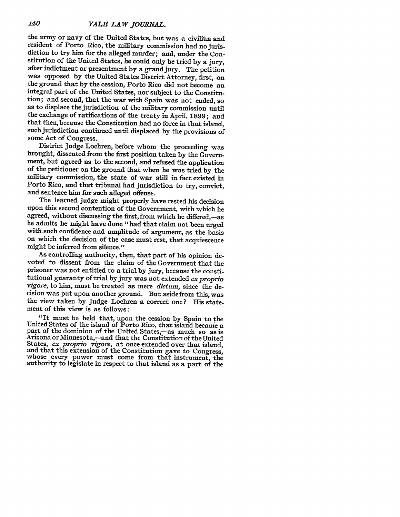the army or navy of the United States, but was a civilian and resident of Porto Rico, the military commission had no jurisdiction to try him for the alleged murder; and, under the Constitution of the United States, he could only be tried by a jury, after indictment or presentment by a grand jury. The petition was opposed **by** the United States District Attorney, first, on the ground that **by** the cession, Porto Rico did not become an integral part of the United States, nor subject to the Constitution; and second, that the war with Spain was not ended, so as to displace the jurisdiction of the military commission until the exchange of ratifications of the treaty in April, **1899;** and that then, because the Constitution had no force in that island, such jurisdiction continued until displaced **by** the provisions of some Act of Congress.

District Judge Lochren, before whom the proceeding was brought, dissented from the first position taken **by** the Government, but agreed- as to the second, and refused the application of the petitioner on the ground that when he was tried **by** the military commission, the state of war still in-fact existed in Porto Rico, and that tribunal had jurisdiction to try, convict, and sentence him for such alleged offense.

The learned judge might properly have rested his decision upon this second contention of the Government, with which he agreed, without discussing the first, from which he differed,—as he admits he might have done "had that claim not been urged with such confidence and amplitude of argument, as the basis on which the decision of the case must rest, that acquiescence might be inferred from silence."

As controlling authority, then, that part of his opinion devoted to dissent from the claim of the Government that the prisoner was not entitled to a trial by jury, because the constitutional guaranty of trial by jury was not extended *ex proprio vigore,* to him, must be treated as mere *dictum,* since the decision was put upon another ground. But asidefrom this, was the view taken **by** Judge Lochren a correct one? His statement of this view is as follows:

"It must be held that, upon the cession **by** Spain to the United States of the island of Porto Rico, that island became a part of the dominion of the United States,-as much so as is Arizona or Minnesota,--and that the Constitution of the United States, ex proprio vigore, at once extended over that island, and that this extension of the Constitution gave to Congress, whose every power must come from that instrument, the authority to legislate in respect to that island as a part of the

*140*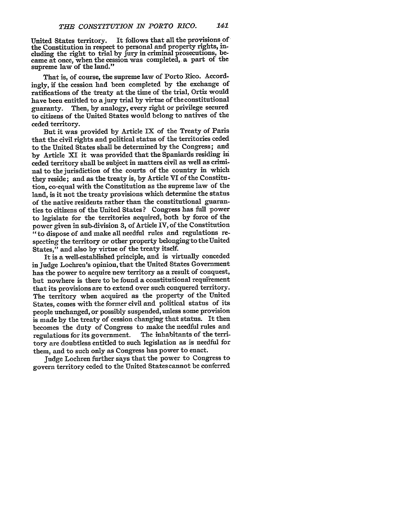United States territory. It follows that all the provisions of the Constitution in respect to personal and property rights, including the right to trial **by** jury in criminal prosecutions, became at once, when the cession was completed, a part of the supreme law of the land."

That is, **of** course, the supreme law of Porto Rico. Accordingly, if the cession had been completed **by** the exchange of ratifications of the treaty at the time of the trial, Ortiz would have been entitled to a jury trial by virtue of the constitutional guaranty. Then, **by** analogy, every right or privilege secured to citizens of the United States would belong to natives of the ceded territory.

But it was provided **by** Article IX of the Treaty of Paris that the civil rights and political status of the territories ceded to the United States shall be determined **by** the Congress; and **by** Article XI it was provided that the Spaniards residing in ceded territory shall be subject in matters civil as well as criminal to the jurisdiction of the courts of the country in which they reside; and as the treaty is, **by** Article VI of the Constitution, co-equal with the Constitution as the supreme law of the land, is it not the treaty provisions which determine the status of the native residents rather than the constitutional guaranties to citizens of the United States? Congress has full power to legislate for the territories acquired, both **by** force of the power given in sub-division **3,** of Article IV, of the Constitution "to dispose of and make all needful rules and regulations respecting the territory or other property belonging to the United States," and also **by** virtue of the treaty itself.

It is a well-established principle, and is virtually conceded in Judge Lochren's opinion, that the United States Government has the power to acquire new territory as a result of conquest, but nowhere is there to be found a constitutional requirement that its provisions are to extend over such conquered territory. The territory when acquired as the property of the United States, comes with the former civil and political status of its people unchanged, or possibly suspended, unless some provision is made **by** the treaty of cession changing that status. It then becomes the duty of Congress to make the needful rules and<br>regulations for its government. The inhabitants of the terriregulations for its government. tory are doubtless entitled to such legislation as is needful for them, and to such only as Congress has power to enact.

Judge Lochren further says that the power to Congress to govern territory ceded to the United States cannot be conferred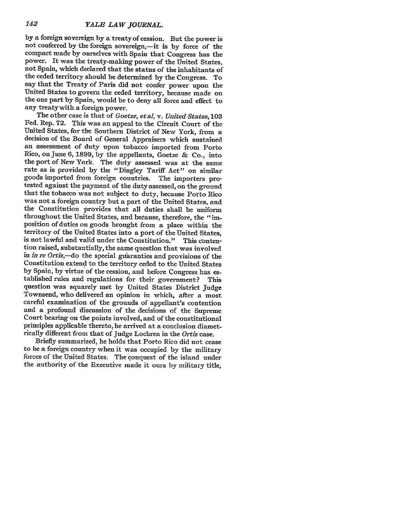**by** a foreign sovereign **by** a treaty of cession. But the power is not conferred by the foreign sovereign,-it is by force of the compact made **by** ourselves with Spain that Congress has the power. It was the treaty-making power of the United States, not Spain, which declared that the status of the inhabitants of the ceded territory should be determined **by** the Congress. To say that the Treaty of Paris did not confer power upon the United States to govern the ceded territory, because made on the one part **by** Spain, would be to deny all force and effect to any treatywith a foreign power.

The other case is that of *Goetze, etal, v. United States, 103* Fed. Rep. **72.** This was an appeal to the Circuit Court of the United States, for the Southern District of New York, from a decision of the Board of General Appraisers which sustained an assessment of duty upon tobacco imported from Porto Rico, on June **6, 1899, by** the appellants, Goetze **&** Co., into the port of New York. The duty assessed was at the same rate as is provided **by** the "Dingley Tariff Act" on similar goods imported from foreign countries. The importers protested against the payment of the duty assessed, on the ground that the tobacco was not subject to duty, because Porto Rico was not a foreign country but a part of the United States, and the Constitution provides that all duties shall be uniform throughout the United States, and because, therefore, the "imposition of duties on goods brought from a place within the territory of the United States into a port of the United States, is not lawful and valid under the Constitution." This contention raised, substantially, the same question that was involved in *in re Ortiz*,—do the special guaranties and provisions of the Constitution extend to the territory ceded to the United States **by** Spain, **by** virtue of the cession, and before Congress has established rules and regulations for their government? This question was squarely met **by** United States District Judge Townsend, who delivered an opinion in which, after a most careful examination of the grounds of appellant's contention and a profound discussion of the decisions of the Supreme Court bearing on the points involved, and of the constitutional principles applicable thereto, he arrived at a conclusion diametrically different from that of Judge Lochren in the *Ortiz* case.

Briefly summarized, he holds that Porto Rico did not cease to be a foreign country when it was occupied **by** the military forces of the United States. The conquest of the island under the authority of the Executive made it ours **by** military title,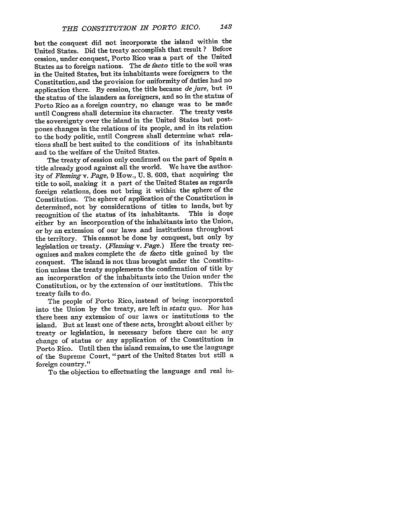but the conquest did not incorporate the island within the United States. Did the treaty accomplish that result ? Before cession, under conquest, Porto Rico was a part of the United States as to foreign nations. The *de facto* title to the soil was in the United States, but its inhabitants were foreigners to the Constitution, and the provision for uniformity of duties had no application there. By cession, the title became *de jure,* but in the status of the islanders as foreigners, and so in the status of Porto Rico as a foreign country, no change was to be made until Congress shall determine its character. The treaty vests the sovereignty over the island in the United States but postpones changes in the relations of its people, and in its relation to the body politic, until Congress shall determine what relations shall be best suited to the conditions of its inhabitants and to the welfare of the United States.

The treaty of cession only confirmed on the part of Spain a title already good against all the world. We have the authority of *Flemingv. Page,* 9 How., **U. S.** 603, that acquiring the title to soil, making it a part of the United States as regards foreign relations, does not bring it within the sphere of the Constitution. The sphere of application of the Constitution is determined, not by considerations of titles to lands, but by<br>recognition of the status of its inhabitants. This is done recognition of the status of its inhabitants. either by an incorporation of the inhabitants into the Union, or by an extension of our laws and institutions throughout the territory. This cannot be done by conquest, but only by legislation or treaty. *(Fleming v. Page.)* Here the treaty recognizes and makes complete the *de facto* title gained by the conquest. The island is not thus brought under the Constitution unless the treaty supplements the confirmation of title by an incorporation of the inhabitants into the Union under the Constitution, or by the extension of our institutions. Thisthc treaty fails to do.

The people of Porto Rico, instead of being incorporated into the Union by the treaty, are left in *statu quo.* Nor has there been any extension of our laws or institutions to the island. But at least one of these acts, brought about either by treaty or legislation, is necessary before there can bc any change of status or any application of the Constitution in Porto Rico. Until then the island remains, to use the language of the Supreme Court, "part of the United States but still a foreign country."

To the objection to effectuating the language and real in-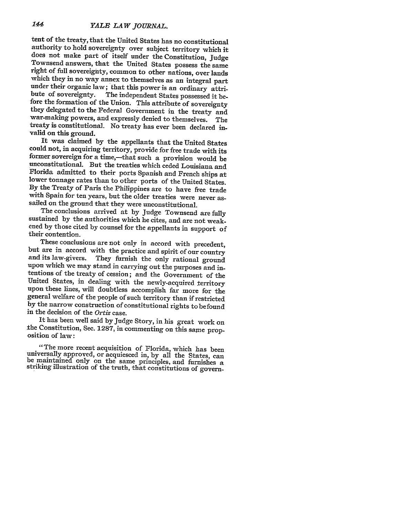tent of the treaty, that the United States has no constitutional authority to hold sovereignty over subject territory which it Townsend answers, that the United States possess the same right of full sovereighty, common to other nations, over lands which they in no way annex to themselves as an integral part<br>under their organic law; that this power is an ordinary attri-<br>bute of sovereignty. The independent States possessed it be-The independent States possessed it before the formation of the Union. This attribute of sovereignty they delegated to the Federal Government in the treaty and war-making powers, and expressly denied to themselves. The treaty is constitutional. No treaty has ever been declared invalid on this ground.

It was claimed **by** the appellants that the United States could not, in acquiring territory, provide for free trade with its former sovereign for a time,-that such a provision would be unconstitutional. But the treaties which ceded Louisiana and Florida admitted to their ports Spanish and French ships at lower tonnage rates than to other ports of the United States. **By** the Treaty of Paris the Philippines are to have free trade with Spain for ten years, but the older treaties were never assailed on the ground that they were unconstitutional.<br>The conclusions arrived at by Judge Townsend are fully

sustained by the authorities which he cites, and are not weakened by those cited by counsel for the appellants in support of their contention.<br>These conclusions are not only in accord with precedent,

but are in accord with the practice and spirit of our country<br>and its law-givers. They furnish the only rational ground upon which we may stand in carrying out the purposes and intentions of the treaty of cession; and the Government of the United States, in dealing with the newly-acquired territory upon these lines, will doubtless accomplish far more for the general welfare of the people of such territory than if restricted by the narrow construction of constitutional rights to be found in the decision of the *Ortiz* case.

It has been well said by Judge Story, in his great work on the Constitution, Sec. 1287, in commenting on this same proposition of law:

"The more recent acquisition of Florida, which has been universally approved, or acquiesced in, by all the States, can be maintained only on the same principles, and furnishes a striking illustration of the truth, that con